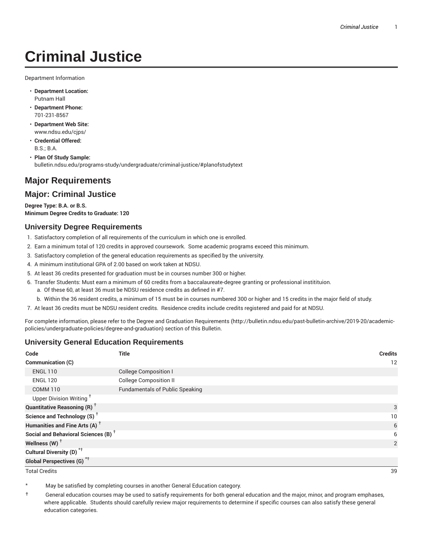# **Criminal Justice**

Department Information

- **Department Location:** Putnam Hall
- **Department Phone:** 701-231-8567
- **Department Web Site:** www.ndsu.edu/cjps/
- **Credential Offered:** B.S.; B.A.
- **Plan Of Study Sample:** bulletin.ndsu.edu/programs-study/undergraduate/criminal-justice/#planofstudytext

# **Major Requirements**

## **Major: Criminal Justice**

**Degree Type: B.A. or B.S. Minimum Degree Credits to Graduate: 120**

#### **University Degree Requirements**

- 1. Satisfactory completion of all requirements of the curriculum in which one is enrolled.
- 2. Earn a minimum total of 120 credits in approved coursework. Some academic programs exceed this minimum.
- 3. Satisfactory completion of the general education requirements as specified by the university.
- 4. A minimum institutional GPA of 2.00 based on work taken at NDSU.
- 5. At least 36 credits presented for graduation must be in courses number 300 or higher.
- 6. Transfer Students: Must earn a minimum of 60 credits from a baccalaureate-degree granting or professional institituion.
	- a. Of these 60, at least 36 must be NDSU residence credits as defined in #7.
	- b. Within the 36 resident credits, a minimum of 15 must be in courses numbered 300 or higher and 15 credits in the major field of study.
- 7. At least 36 credits must be NDSU resident credits. Residence credits include credits registered and paid for at NDSU.

For complete information, please refer to the Degree and Graduation Requirements (http://bulletin.ndsu.edu/past-bulletin-archive/2019-20/academicpolicies/undergraduate-policies/degree-and-graduation) section of this Bulletin.

#### **University General Education Requirements**

| Code                                            | <b>Title</b>                           | <b>Credits</b> |
|-------------------------------------------------|----------------------------------------|----------------|
| Communication (C)                               |                                        | 12             |
| <b>ENGL 110</b>                                 | <b>College Composition I</b>           |                |
| <b>ENGL 120</b>                                 | <b>College Composition II</b>          |                |
| <b>COMM 110</b>                                 | <b>Fundamentals of Public Speaking</b> |                |
| Upper Division Writing <sup>†</sup>             |                                        |                |
| <b>Quantitative Reasoning (R)</b> <sup>†</sup>  |                                        | 3              |
| Science and Technology (S) <sup>+</sup>         |                                        | 10             |
| Humanities and Fine Arts (A) <sup>+</sup>       |                                        | 6              |
| Social and Behavioral Sciences (B) <sup>+</sup> |                                        | 6              |
| Wellness $(W)$ <sup>†</sup>                     |                                        | 2              |
| Cultural Diversity (D) <sup>*†</sup>            |                                        |                |
| <b>Global Perspectives (G)<sup>*†</sup></b>     |                                        |                |

Total Credits 39

May be satisfied by completing courses in another General Education category.

† General education courses may be used to satisfy requirements for both general education and the major, minor, and program emphases, where applicable. Students should carefully review major requirements to determine if specific courses can also satisfy these general education categories.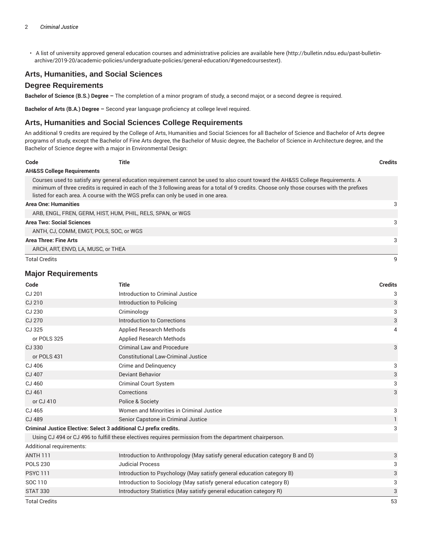• A list of university approved general education courses and administrative policies are available here (http://bulletin.ndsu.edu/past-bulletinarchive/2019-20/academic-policies/undergraduate-policies/general-education/#genedcoursestext).

## **Arts, Humanities, and Social Sciences**

#### **Degree Requirements**

**Bachelor of Science (B.S.) Degree –** The completion of a minor program of study, a second major, or a second degree is required.

**Bachelor of Arts (B.A.) Degree –** Second year language proficiency at college level required.

#### **Arts, Humanities and Social Sciences College Requirements**

An additional 9 credits are required by the College of Arts, Humanities and Social Sciences for all Bachelor of Science and Bachelor of Arts degree programs of study, except the Bachelor of Fine Arts degree, the Bachelor of Music degree, the Bachelor of Science in Architecture degree, and the Bachelor of Science degree with a major in Environmental Design:

| Code                                  | Title                                                                            |                                                                                                                                                                                                                                                                                | <b>Credits</b> |
|---------------------------------------|----------------------------------------------------------------------------------|--------------------------------------------------------------------------------------------------------------------------------------------------------------------------------------------------------------------------------------------------------------------------------|----------------|
| <b>AH&amp;SS College Requirements</b> |                                                                                  |                                                                                                                                                                                                                                                                                |                |
|                                       | listed for each area. A course with the WGS prefix can only be used in one area. | Courses used to satisfy any general education requirement cannot be used to also count toward the AH&SS College Requirements. A<br>minimum of three credits is required in each of the 3 following areas for a total of 9 credits. Choose only those courses with the prefixes |                |
| <b>Area One: Humanities</b>           |                                                                                  |                                                                                                                                                                                                                                                                                | 3              |
|                                       | ARB, ENGL, FREN, GERM, HIST, HUM, PHIL, RELS, SPAN, or WGS                       |                                                                                                                                                                                                                                                                                |                |
| <b>Area Two: Social Sciences</b>      |                                                                                  |                                                                                                                                                                                                                                                                                | 3              |
|                                       | ANTH. CJ. COMM. EMGT. POLS. SOC. or WGS.                                         |                                                                                                                                                                                                                                                                                |                |
| <b>Area Three: Fine Arts</b>          |                                                                                  |                                                                                                                                                                                                                                                                                | 3              |
|                                       | ARCH, ART, ENVD, LA, MUSC, or THEA                                               |                                                                                                                                                                                                                                                                                |                |
| <b>Total Credits</b>                  |                                                                                  |                                                                                                                                                                                                                                                                                | 9              |

#### **Major Requirements**

| Code                                                              | <b>Title</b>                                                                                           | <b>Credits</b> |
|-------------------------------------------------------------------|--------------------------------------------------------------------------------------------------------|----------------|
| CJ 201                                                            | Introduction to Criminal Justice                                                                       | 3              |
| CJ 210                                                            | Introduction to Policing                                                                               | 3              |
| CJ 230                                                            | Criminology                                                                                            | 3              |
| <b>CJ 270</b>                                                     | Introduction to Corrections                                                                            | 3              |
| CJ 325                                                            | <b>Applied Research Methods</b>                                                                        | 4              |
| or POLS 325                                                       | <b>Applied Research Methods</b>                                                                        |                |
| CJ 330                                                            | <b>Criminal Law and Procedure</b>                                                                      | 3              |
| or POLS 431                                                       | <b>Constitutional Law-Criminal Justice</b>                                                             |                |
| CJ 406                                                            | Crime and Delinguency                                                                                  | 3              |
| <b>CJ 407</b>                                                     | <b>Deviant Behavior</b>                                                                                | 3              |
| CJ 460                                                            | <b>Criminal Court System</b>                                                                           | 3              |
| CJ 461                                                            | Corrections                                                                                            | 3              |
| or CJ 410                                                         | Police & Society                                                                                       |                |
| CJ 465                                                            | Women and Minorities in Criminal Justice                                                               | 3              |
| CJ 489                                                            | Senior Capstone in Criminal Justice                                                                    | $\mathbf{1}$   |
| Criminal Justice Elective: Select 3 additional CJ prefix credits. |                                                                                                        |                |
|                                                                   | Using CJ 494 or CJ 496 to fulfill these electives requires permission from the department chairperson. |                |
| Additional requirements:                                          |                                                                                                        |                |
| <b>ANTH 111</b>                                                   | Introduction to Anthropology (May satisfy general education category B and D)                          | 3              |
| <b>POLS 230</b>                                                   | <b>Judicial Process</b>                                                                                | 3              |
| <b>PSYC 111</b>                                                   | Introduction to Psychology (May satisfy general education category B)                                  | 3              |
| SOC 110                                                           | Introduction to Sociology (May satisfy general education category B)                                   | 3              |
| <b>STAT 330</b>                                                   | Introductory Statistics (May satisfy general education category R)                                     | 3              |
| <b>Total Credits</b>                                              |                                                                                                        | 53             |